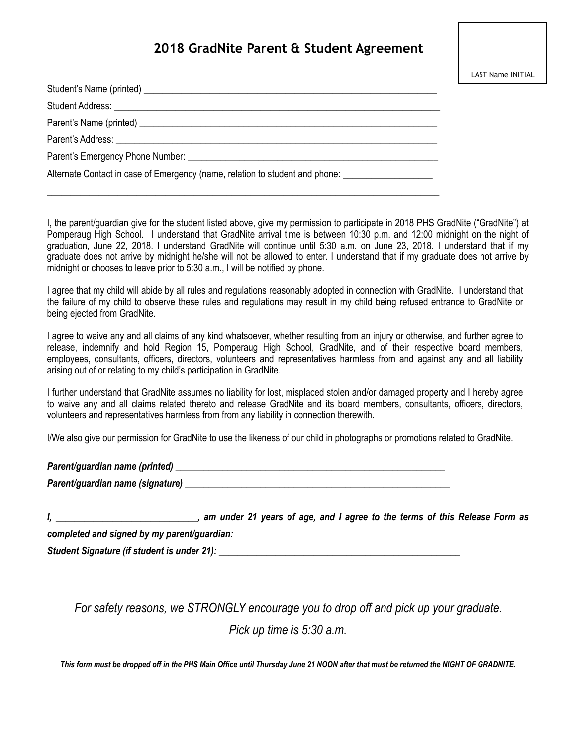## **2018 GradNite Parent & Student Agreement**

| Alternate Contact in case of Emergency (name, relation to student and phone: ______________________ |
|-----------------------------------------------------------------------------------------------------|
|                                                                                                     |

I, the parent/guardian give for the student listed above, give my permission to participate in 2018 PHS GradNite ("GradNite") at Pomperaug High School. I understand that GradNite arrival time is between 10:30 p.m. and 12:00 midnight on the night of graduation, June 22, 2018. I understand GradNite will continue until 5:30 a.m. on June 23, 2018. I understand that if my graduate does not arrive by midnight he/she will not be allowed to enter. I understand that if my graduate does not arrive by midnight or chooses to leave prior to 5:30 a.m., I will be notified by phone.

I agree that my child will abide by all rules and regulations reasonably adopted in connection with GradNite. I understand that the failure of my child to observe these rules and regulations may result in my child being refused entrance to GradNite or being ejected from GradNite.

I agree to waive any and all claims of any kind whatsoever, whether resulting from an injury or otherwise, and further agree to release, indemnify and hold Region 15, Pomperaug High School, GradNite, and of their respective board members, employees, consultants, officers, directors, volunteers and representatives harmless from and against any and all liability arising out of or relating to my child's participation in GradNite.

I further understand that GradNite assumes no liability for lost, misplaced stolen and/or damaged property and I hereby agree to waive any and all claims related thereto and release GradNite and its board members, consultants, officers, directors, volunteers and representatives harmless from from any liability in connection therewith.

I/We also give our permission for GradNite to use the likeness of our child in photographs or promotions related to GradNite.

| Parent/guardian name (printed)   |  |
|----------------------------------|--|
| Parent/guardian name (signature) |  |

*I, \_\_\_\_\_\_\_\_\_\_\_\_\_\_\_\_\_\_\_\_\_\_\_\_\_\_\_\_\_\_, am under 21 years of age, and I agree to the terms of this Release Form as completed and signed by my parent/guardian: Student Signature (if student is under 21):*  $\blacksquare$ 

*For safety reasons, we STRONGLY encourage you to drop off and pick up your graduate.* 

*Pick up time is 5:30 a.m.* 

*This form must be dropped off in the PHS Main Office until Thursday June 21 NOON after that must be returned the NIGHT OF GRADNITE.*